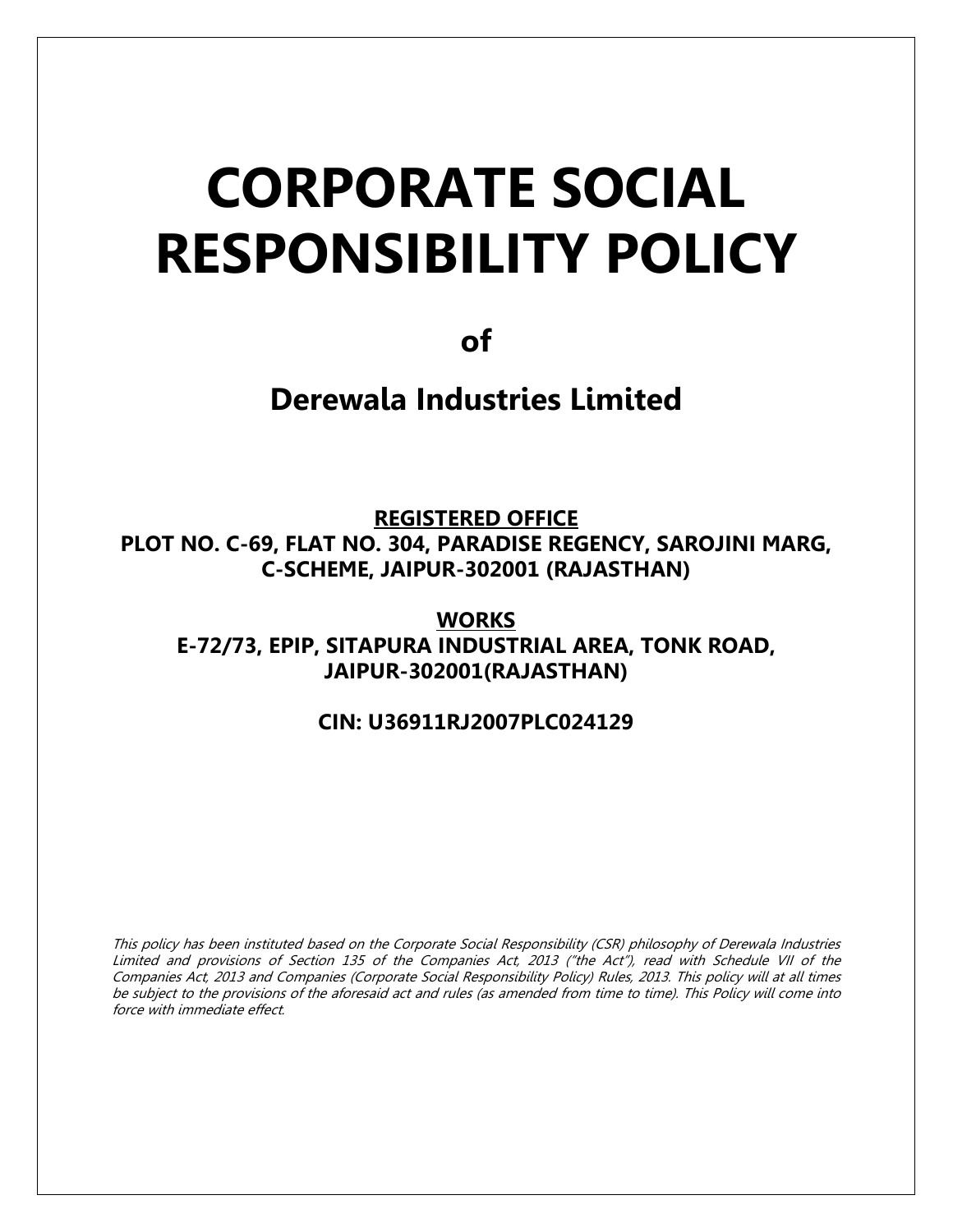# CORPORATE SOCIAL RESPONSIBILITY POLICY

of

Derewala Industries Limited

REGISTERED OFFICE PLOT NO. C-69, FLAT NO. 304, PARADISE REGENCY, SAROJINI MARG, C-SCHEME, JAIPUR-302001 (RAJASTHAN)

**WORKS** E-72/73, EPIP, SITAPURA INDUSTRIAL AREA, TONK ROAD, JAIPUR-302001(RAJASTHAN)

## CIN: U36911RJ2007PLC024129

This policy has been instituted based on the Corporate Social Responsibility (CSR) philosophy of Derewala Industries Limited and provisions of Section 135 of the Companies Act, 2013 ("the Act"), read with Schedule VII of the Companies Act, 2013 and Companies (Corporate Social Responsibility Policy) Rules, 2013. This policy will at all times be subject to the provisions of the aforesaid act and rules (as amended from time to time). This Policy will come into force with immediate effect.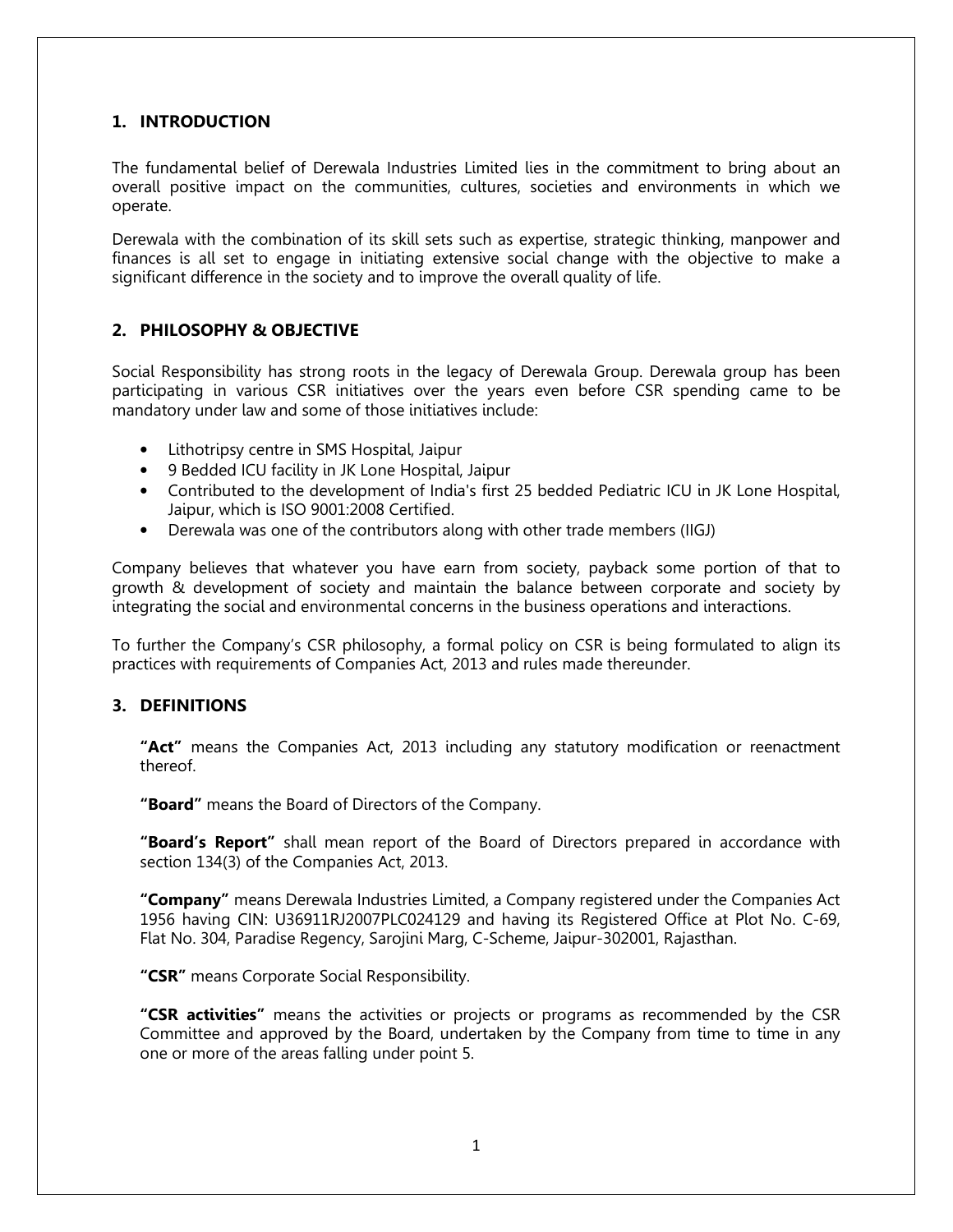## 1. INTRODUCTION

The fundamental belief of Derewala Industries Limited lies in the commitment to bring about an overall positive impact on the communities, cultures, societies and environments in which we operate.

Derewala with the combination of its skill sets such as expertise, strategic thinking, manpower and finances is all set to engage in initiating extensive social change with the objective to make a significant difference in the society and to improve the overall quality of life.

## 2. PHILOSOPHY & OBJECTIVE

Social Responsibility has strong roots in the legacy of Derewala Group. Derewala group has been participating in various CSR initiatives over the years even before CSR spending came to be mandatory under law and some of those initiatives include:

- Lithotripsy centre in SMS Hospital, Jaipur
- 9 Bedded ICU facility in JK Lone Hospital, Jaipur
- Contributed to the development of India's first 25 bedded Pediatric ICU in JK Lone Hospital, Jaipur, which is ISO 9001:2008 Certified.
- Derewala was one of the contributors along with other trade members (IIGJ)

Company believes that whatever you have earn from society, payback some portion of that to growth & development of society and maintain the balance between corporate and society by integrating the social and environmental concerns in the business operations and interactions.

To further the Company's CSR philosophy, a formal policy on CSR is being formulated to align its practices with requirements of Companies Act, 2013 and rules made thereunder.

#### 3. DEFINITIONS

"Act" means the Companies Act, 2013 including any statutory modification or reenactment thereof.

"Board" means the Board of Directors of the Company.

"Board's Report" shall mean report of the Board of Directors prepared in accordance with section 134(3) of the Companies Act, 2013.

"Company" means Derewala Industries Limited, a Company registered under the Companies Act 1956 having CIN: U36911RJ2007PLC024129 and having its Registered Office at Plot No. C-69, Flat No. 304, Paradise Regency, Sarojini Marg, C-Scheme, Jaipur-302001, Rajasthan.

"CSR" means Corporate Social Responsibility.

**"CSR activities"** means the activities or projects or programs as recommended by the CSR Committee and approved by the Board, undertaken by the Company from time to time in any one or more of the areas falling under point 5.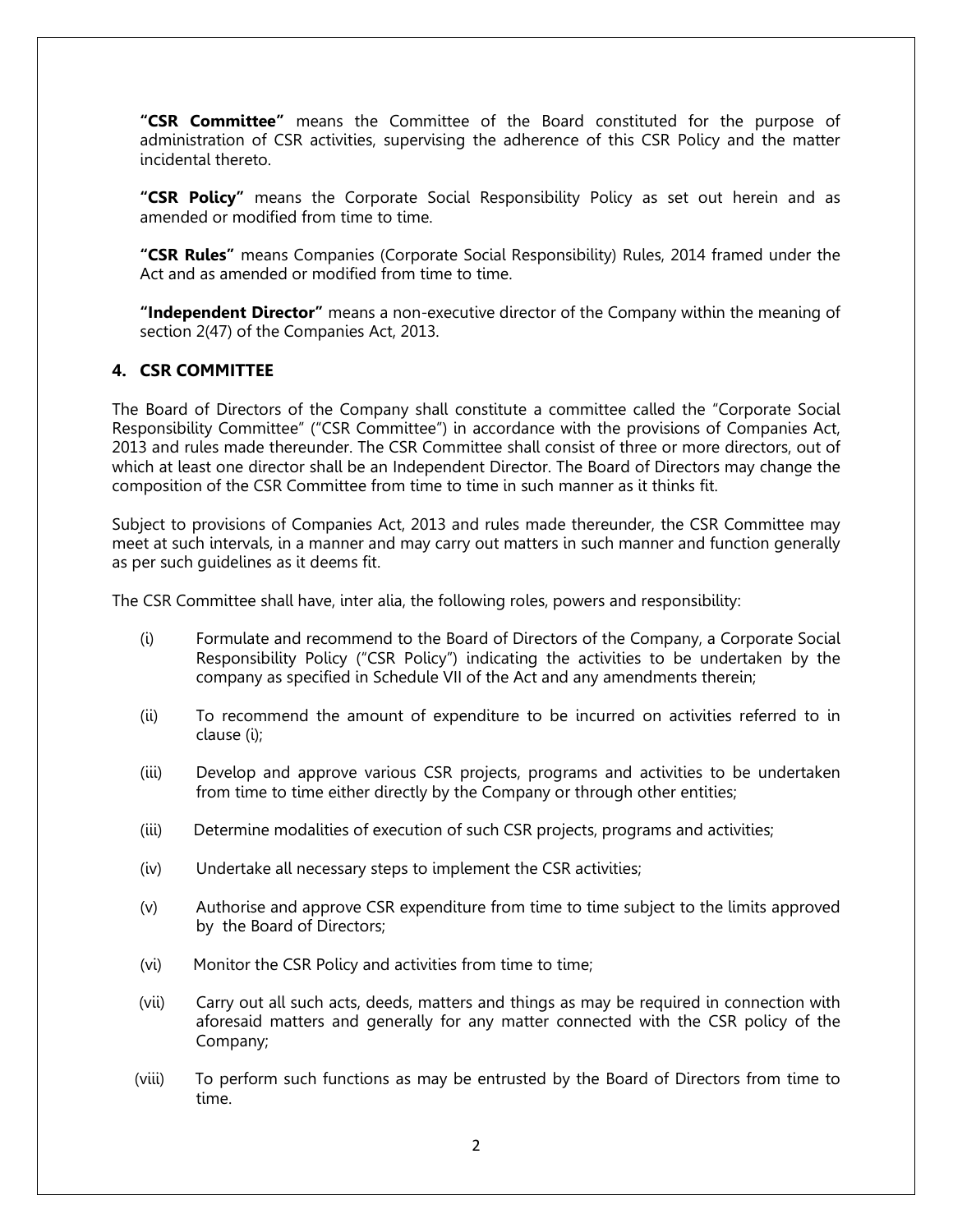"CSR Committee" means the Committee of the Board constituted for the purpose of administration of CSR activities, supervising the adherence of this CSR Policy and the matter incidental thereto.

"CSR Policy" means the Corporate Social Responsibility Policy as set out herein and as amended or modified from time to time.

"CSR Rules" means Companies (Corporate Social Responsibility) Rules, 2014 framed under the Act and as amended or modified from time to time.

"Independent Director" means a non-executive director of the Company within the meaning of section 2(47) of the Companies Act, 2013.

## 4. CSR COMMITTEE

The Board of Directors of the Company shall constitute a committee called the "Corporate Social Responsibility Committee" ("CSR Committee") in accordance with the provisions of Companies Act, 2013 and rules made thereunder. The CSR Committee shall consist of three or more directors, out of which at least one director shall be an Independent Director. The Board of Directors may change the composition of the CSR Committee from time to time in such manner as it thinks fit.

Subject to provisions of Companies Act, 2013 and rules made thereunder, the CSR Committee may meet at such intervals, in a manner and may carry out matters in such manner and function generally as per such guidelines as it deems fit.

The CSR Committee shall have, inter alia, the following roles, powers and responsibility:

- (i) Formulate and recommend to the Board of Directors of the Company, a Corporate Social Responsibility Policy ("CSR Policy") indicating the activities to be undertaken by the company as specified in Schedule VII of the Act and any amendments therein;
- (ii) To recommend the amount of expenditure to be incurred on activities referred to in clause (i);
- (iii) Develop and approve various CSR projects, programs and activities to be undertaken from time to time either directly by the Company or through other entities;
- (iii) Determine modalities of execution of such CSR projects, programs and activities;
- (iv) Undertake all necessary steps to implement the CSR activities;
- (v) Authorise and approve CSR expenditure from time to time subject to the limits approved by the Board of Directors;
- (vi) Monitor the CSR Policy and activities from time to time;
- (vii) Carry out all such acts, deeds, matters and things as may be required in connection with aforesaid matters and generally for any matter connected with the CSR policy of the Company;
- (viii) To perform such functions as may be entrusted by the Board of Directors from time to time.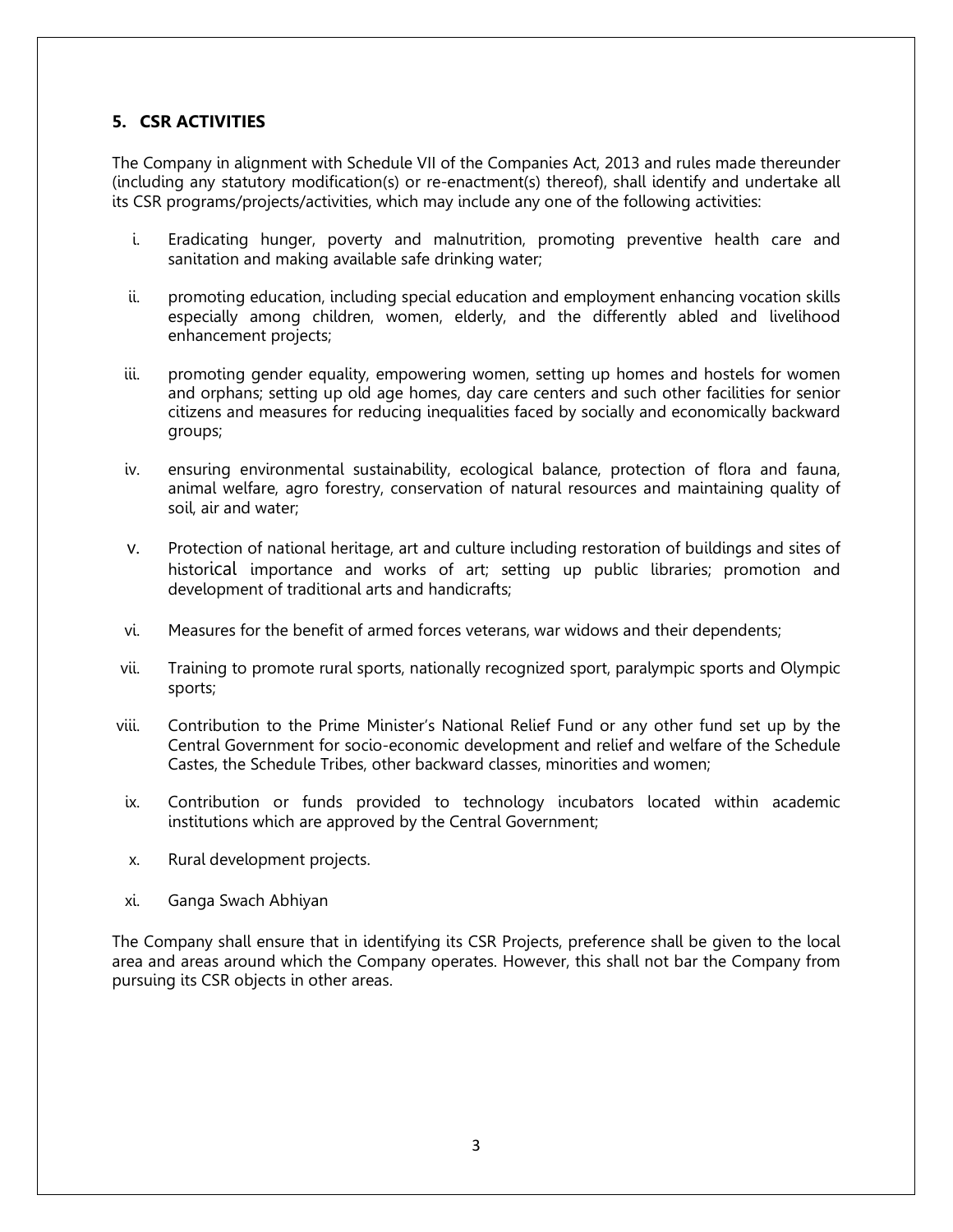## 5. CSR ACTIVITIES

The Company in alignment with Schedule VII of the Companies Act, 2013 and rules made thereunder (including any statutory modification(s) or re-enactment(s) thereof), shall identify and undertake all its CSR programs/projects/activities, which may include any one of the following activities:

- i. Eradicating hunger, poverty and malnutrition, promoting preventive health care and sanitation and making available safe drinking water;
- ii. promoting education, including special education and employment enhancing vocation skills especially among children, women, elderly, and the differently abled and livelihood enhancement projects;
- iii. promoting gender equality, empowering women, setting up homes and hostels for women and orphans; setting up old age homes, day care centers and such other facilities for senior citizens and measures for reducing inequalities faced by socially and economically backward groups;
- iv. ensuring environmental sustainability, ecological balance, protection of flora and fauna, animal welfare, agro forestry, conservation of natural resources and maintaining quality of soil, air and water;
- v. Protection of national heritage, art and culture including restoration of buildings and sites of historical importance and works of art; setting up public libraries; promotion and development of traditional arts and handicrafts;
- vi. Measures for the benefit of armed forces veterans, war widows and their dependents;
- vii. Training to promote rural sports, nationally recognized sport, paralympic sports and Olympic sports;
- viii. Contribution to the Prime Minister's National Relief Fund or any other fund set up by the Central Government for socio-economic development and relief and welfare of the Schedule Castes, the Schedule Tribes, other backward classes, minorities and women;
- ix. Contribution or funds provided to technology incubators located within academic institutions which are approved by the Central Government;
- x. Rural development projects.
- xi. Ganga Swach Abhiyan

The Company shall ensure that in identifying its CSR Projects, preference shall be given to the local area and areas around which the Company operates. However, this shall not bar the Company from pursuing its CSR objects in other areas.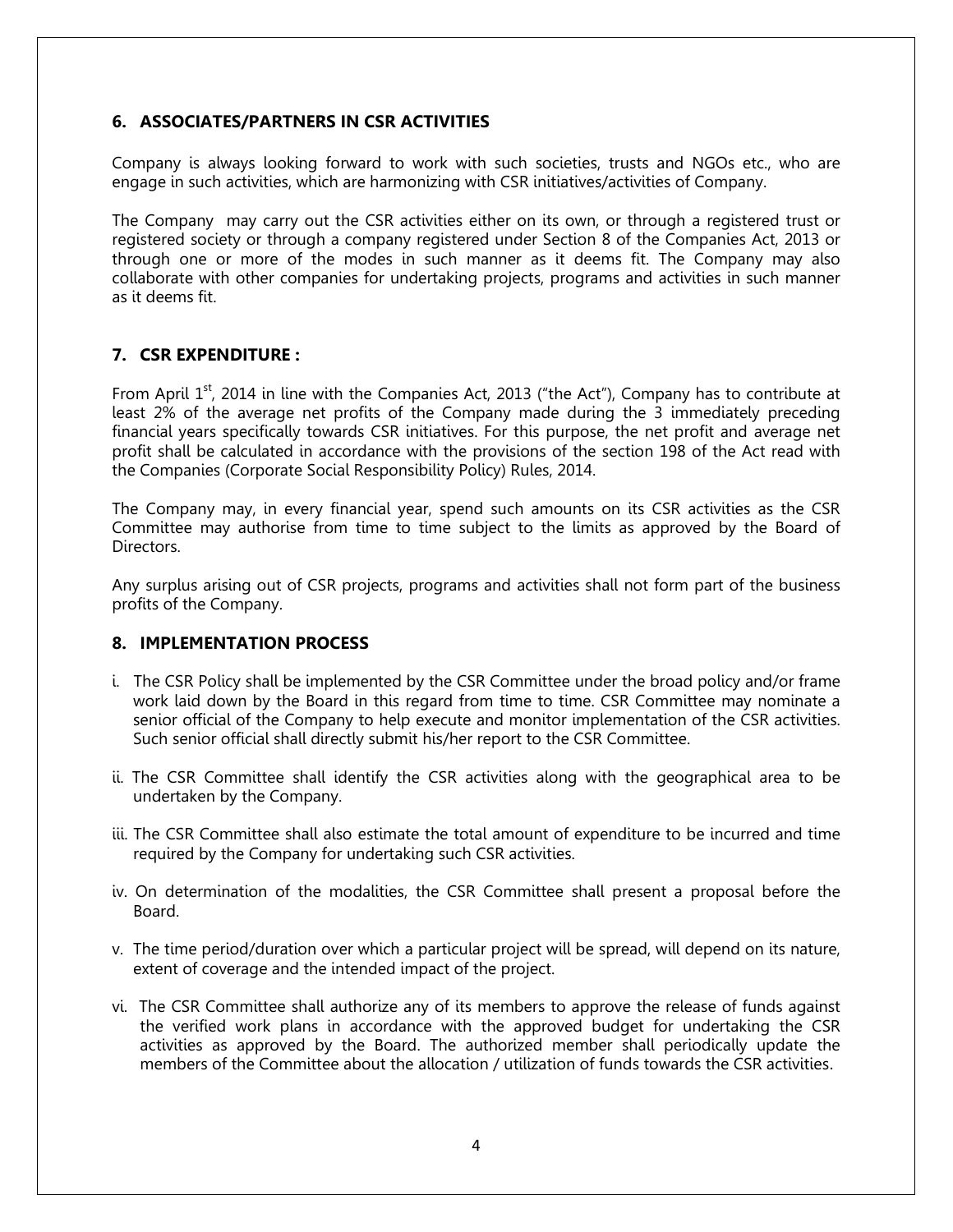## 6. ASSOCIATES/PARTNERS IN CSR ACTIVITIES

Company is always looking forward to work with such societies, trusts and NGOs etc., who are engage in such activities, which are harmonizing with CSR initiatives/activities of Company.

The Company may carry out the CSR activities either on its own, or through a registered trust or registered society or through a company registered under Section 8 of the Companies Act, 2013 or through one or more of the modes in such manner as it deems fit. The Company may also collaborate with other companies for undertaking projects, programs and activities in such manner as it deems fit.

## 7. CSR EXPENDITURE :

From April  $1<sup>st</sup>$ , 2014 in line with the Companies Act, 2013 ("the Act"), Company has to contribute at least 2% of the average net profits of the Company made during the 3 immediately preceding financial years specifically towards CSR initiatives. For this purpose, the net profit and average net profit shall be calculated in accordance with the provisions of the section 198 of the Act read with the Companies (Corporate Social Responsibility Policy) Rules, 2014.

The Company may, in every financial year, spend such amounts on its CSR activities as the CSR Committee may authorise from time to time subject to the limits as approved by the Board of Directors.

Any surplus arising out of CSR projects, programs and activities shall not form part of the business profits of the Company.

## 8. IMPLEMENTATION PROCESS

- i. The CSR Policy shall be implemented by the CSR Committee under the broad policy and/or frame work laid down by the Board in this regard from time to time. CSR Committee may nominate a senior official of the Company to help execute and monitor implementation of the CSR activities. Such senior official shall directly submit his/her report to the CSR Committee.
- ii. The CSR Committee shall identify the CSR activities along with the geographical area to be undertaken by the Company.
- iii. The CSR Committee shall also estimate the total amount of expenditure to be incurred and time required by the Company for undertaking such CSR activities.
- iv. On determination of the modalities, the CSR Committee shall present a proposal before the Board.
- v. The time period/duration over which a particular project will be spread, will depend on its nature, extent of coverage and the intended impact of the project.
- vi. The CSR Committee shall authorize any of its members to approve the release of funds against the verified work plans in accordance with the approved budget for undertaking the CSR activities as approved by the Board. The authorized member shall periodically update the members of the Committee about the allocation / utilization of funds towards the CSR activities.